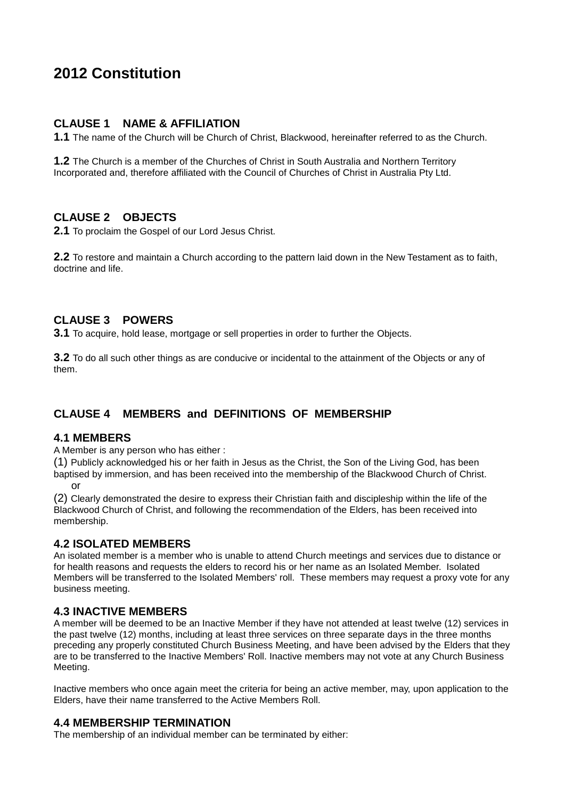# **2012 Constitution**

#### **CLAUSE 1 NAME & AFFILIATION**

**1.1** The name of the Church will be Church of Christ, Blackwood, hereinafter referred to as the Church.

**1.2** The Church is a member of the Churches of Christ in South Australia and Northern Territory Incorporated and, therefore affiliated with the Council of Churches of Christ in Australia Pty Ltd.

## **CLAUSE 2 OBJECTS**

**2.1** To proclaim the Gospel of our Lord Jesus Christ.

**2.2** To restore and maintain a Church according to the pattern laid down in the New Testament as to faith, doctrine and life.

#### **CLAUSE 3 POWERS**

**3.1** To acquire, hold lease, mortgage or sell properties in order to further the Objects.

**3.2** To do all such other things as are conducive or incidental to the attainment of the Objects or any of them.

## **CLAUSE 4 MEMBERS and DEFINITIONS OF MEMBERSHIP**

#### **4.1 MEMBERS**

A Member is any person who has either :

(1) Publicly acknowledged his or her faith in Jesus as the Christ, the Son of the Living God, has been baptised by immersion, and has been received into the membership of the Blackwood Church of Christ. or

(2) Clearly demonstrated the desire to express their Christian faith and discipleship within the life of the Blackwood Church of Christ, and following the recommendation of the Elders, has been received into membership.

#### **4.2 ISOLATED MEMBERS**

An isolated member is a member who is unable to attend Church meetings and services due to distance or for health reasons and requests the elders to record his or her name as an Isolated Member. Isolated Members will be transferred to the Isolated Members' roll. These members may request a proxy vote for any business meeting.

#### **4.3 INACTIVE MEMBERS**

A member will be deemed to be an Inactive Member if they have not attended at least twelve (12) services in the past twelve (12) months, including at least three services on three separate days in the three months preceding any properly constituted Church Business Meeting, and have been advised by the Elders that they are to be transferred to the Inactive Members' Roll. Inactive members may not vote at any Church Business Meeting.

Inactive members who once again meet the criteria for being an active member, may, upon application to the Elders, have their name transferred to the Active Members Roll.

#### **4.4 MEMBERSHIP TERMINATION**

The membership of an individual member can be terminated by either: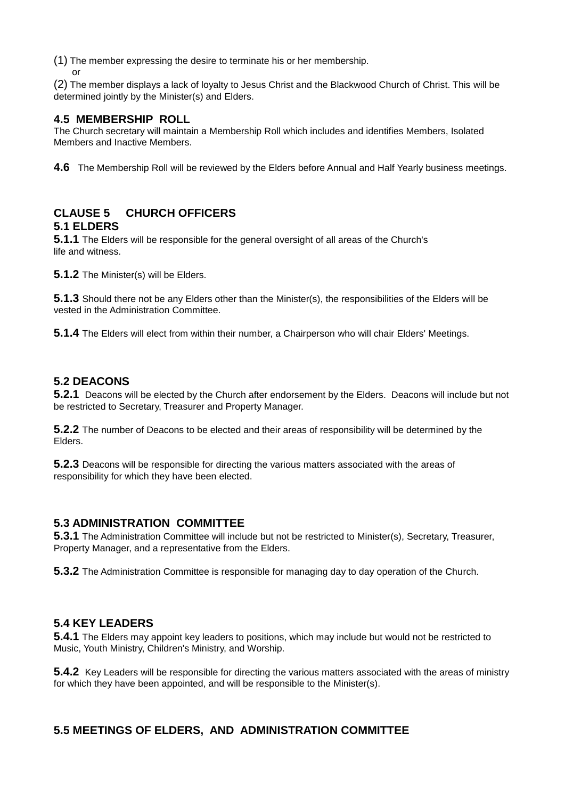(1) The member expressing the desire to terminate his or her membership.

or

(2) The member displays a lack of loyalty to Jesus Christ and the Blackwood Church of Christ. This will be determined jointly by the Minister(s) and Elders.

## **4.5 MEMBERSHIP ROLL**

The Church secretary will maintain a Membership Roll which includes and identifies Members, Isolated Members and Inactive Members.

**4.6** The Membership Roll will be reviewed by the Elders before Annual and Half Yearly business meetings.

#### **CLAUSE 5 CHURCH OFFICERS 5.1 ELDERS**

**5.1.1** The Elders will be responsible for the general oversight of all areas of the Church's life and witness.

**5.1.2** The Minister(s) will be Elders.

**5.1.3** Should there not be any Elders other than the Minister(s), the responsibilities of the Elders will be vested in the Administration Committee.

**5.1.4** The Elders will elect from within their number, a Chairperson who will chair Elders' Meetings.

## **5.2 DEACONS**

**5.2.1** Deacons will be elected by the Church after endorsement by the Elders. Deacons will include but not be restricted to Secretary, Treasurer and Property Manager.

**5.2.2** The number of Deacons to be elected and their areas of responsibility will be determined by the Elders.

**5.2.3** Deacons will be responsible for directing the various matters associated with the areas of responsibility for which they have been elected.

## **5.3 ADMINISTRATION COMMITTEE**

**5.3.1** The Administration Committee will include but not be restricted to Minister(s), Secretary, Treasurer, Property Manager, and a representative from the Elders.

**5.3.2** The Administration Committee is responsible for managing day to day operation of the Church.

#### **5.4 KEY LEADERS**

**5.4.1** The Elders may appoint key leaders to positions, which may include but would not be restricted to Music, Youth Ministry, Children's Ministry, and Worship.

**5.4.2** Key Leaders will be responsible for directing the various matters associated with the areas of ministry for which they have been appointed, and will be responsible to the Minister(s).

#### **5.5 MEETINGS OF ELDERS, AND ADMINISTRATION COMMITTEE**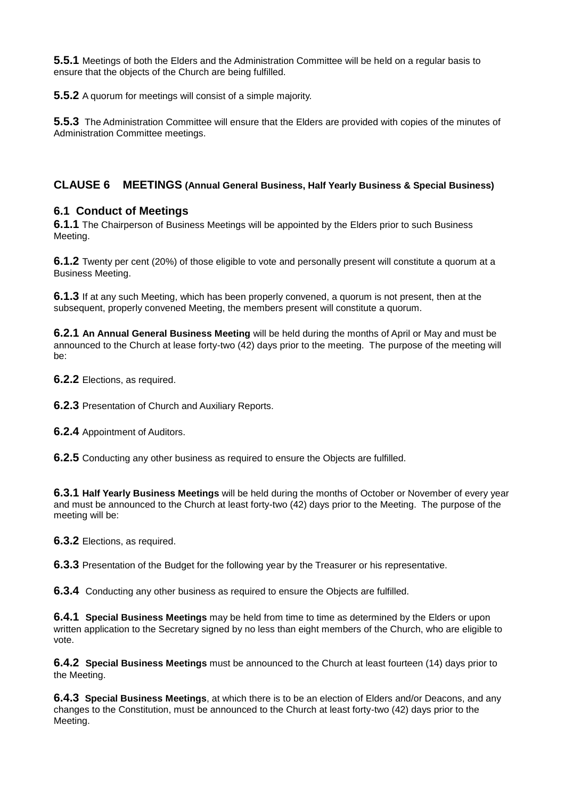**5.5.1** Meetings of both the Elders and the Administration Committee will be held on a regular basis to ensure that the objects of the Church are being fulfilled.

**5.5.2** A quorum for meetings will consist of a simple majority.

**5.5.3** The Administration Committee will ensure that the Elders are provided with copies of the minutes of Administration Committee meetings.

#### **CLAUSE 6 MEETINGS (Annual General Business, Half Yearly Business & Special Business)**

#### **6.1 Conduct of Meetings**

**6.1.1** The Chairperson of Business Meetings will be appointed by the Elders prior to such Business Meeting.

**6.1.2** Twenty per cent (20%) of those eligible to vote and personally present will constitute a quorum at a Business Meeting.

**6.1.3** If at any such Meeting, which has been properly convened, a quorum is not present, then at the subsequent, properly convened Meeting, the members present will constitute a quorum.

**6.2.1 An Annual General Business Meeting** will be held during the months of April or May and must be announced to the Church at lease forty-two (42) days prior to the meeting. The purpose of the meeting will be:

**6.2.2** Elections, as required.

**6.2.3** Presentation of Church and Auxiliary Reports.

**6.2.4** Appointment of Auditors.

**6.2.5** Conducting any other business as required to ensure the Objects are fulfilled.

**6.3.1 Half Yearly Business Meetings** will be held during the months of October or November of every year and must be announced to the Church at least forty-two (42) days prior to the Meeting. The purpose of the meeting will be:

**6.3.2** Elections, as required.

**6.3.3** Presentation of the Budget for the following year by the Treasurer or his representative.

**6.3.4** Conducting any other business as required to ensure the Objects are fulfilled.

**6.4.1 Special Business Meetings** may be held from time to time as determined by the Elders or upon written application to the Secretary signed by no less than eight members of the Church, who are eligible to vote.

**6.4.2 Special Business Meetings** must be announced to the Church at least fourteen (14) days prior to the Meeting.

**6.4.3 Special Business Meetings**, at which there is to be an election of Elders and/or Deacons, and any changes to the Constitution, must be announced to the Church at least forty-two (42) days prior to the Meeting.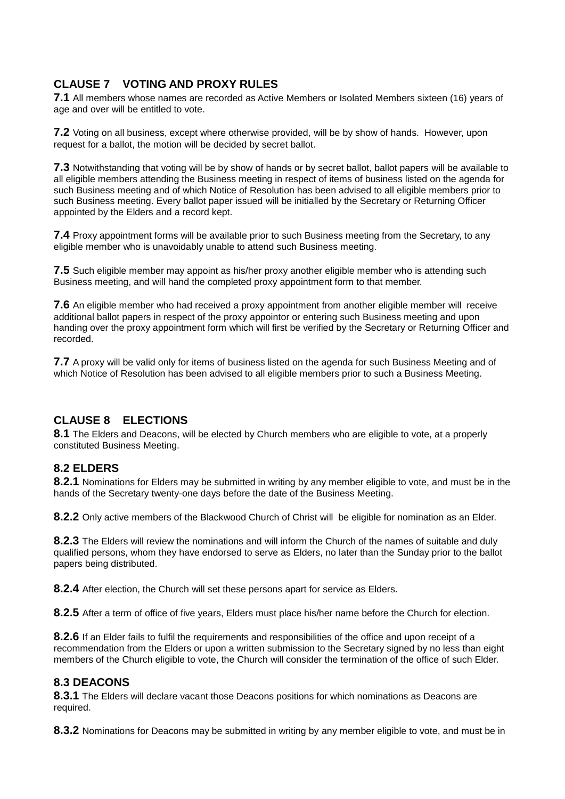## **CLAUSE 7 VOTING AND PROXY RULES**

**7.1** All members whose names are recorded as Active Members or Isolated Members sixteen (16) years of age and over will be entitled to vote.

**7.2** Voting on all business, except where otherwise provided, will be by show of hands. However, upon request for a ballot, the motion will be decided by secret ballot.

**7.3** Notwithstanding that voting will be by show of hands or by secret ballot, ballot papers will be available to all eligible members attending the Business meeting in respect of items of business listed on the agenda for such Business meeting and of which Notice of Resolution has been advised to all eligible members prior to such Business meeting. Every ballot paper issued will be initialled by the Secretary or Returning Officer appointed by the Elders and a record kept.

**7.4** Proxy appointment forms will be available prior to such Business meeting from the Secretary, to any eligible member who is unavoidably unable to attend such Business meeting.

**7.5** Such eligible member may appoint as his/her proxy another eligible member who is attending such Business meeting, and will hand the completed proxy appointment form to that member.

**7.6** An eligible member who had received a proxy appointment from another eligible member will receive additional ballot papers in respect of the proxy appointor or entering such Business meeting and upon handing over the proxy appointment form which will first be verified by the Secretary or Returning Officer and recorded.

**7.7** A proxy will be valid only for items of business listed on the agenda for such Business Meeting and of which Notice of Resolution has been advised to all eligible members prior to such a Business Meeting.

#### **CLAUSE 8 ELECTIONS**

**8.1** The Elders and Deacons, will be elected by Church members who are eligible to vote, at a properly constituted Business Meeting.

#### **8.2 ELDERS**

**8.2.1** Nominations for Elders may be submitted in writing by any member eligible to vote, and must be in the hands of the Secretary twenty-one days before the date of the Business Meeting.

**8.2.2** Only active members of the Blackwood Church of Christ will be eligible for nomination as an Elder.

**8.2.3** The Elders will review the nominations and will inform the Church of the names of suitable and duly qualified persons, whom they have endorsed to serve as Elders, no later than the Sunday prior to the ballot papers being distributed.

**8.2.4** After election, the Church will set these persons apart for service as Elders.

**8.2.5** After a term of office of five years, Elders must place his/her name before the Church for election.

**8.2.6** If an Elder fails to fulfil the requirements and responsibilities of the office and upon receipt of a recommendation from the Elders or upon a written submission to the Secretary signed by no less than eight members of the Church eligible to vote, the Church will consider the termination of the office of such Elder.

#### **8.3 DEACONS**

**8.3.1** The Elders will declare vacant those Deacons positions for which nominations as Deacons are required.

**8.3.2** Nominations for Deacons may be submitted in writing by any member eligible to vote, and must be in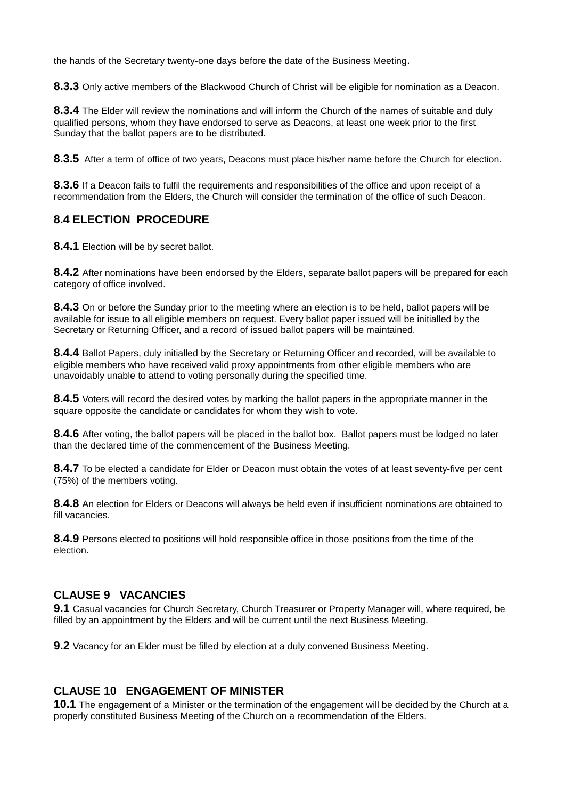the hands of the Secretary twenty-one days before the date of the Business Meeting.

**8.3.3** Only active members of the Blackwood Church of Christ will be eligible for nomination as a Deacon.

**8.3.4** The Elder will review the nominations and will inform the Church of the names of suitable and duly qualified persons, whom they have endorsed to serve as Deacons, at least one week prior to the first Sunday that the ballot papers are to be distributed.

**8.3.5** After a term of office of two years, Deacons must place his/her name before the Church for election.

**8.3.6** If a Deacon fails to fulfil the requirements and responsibilities of the office and upon receipt of a recommendation from the Elders, the Church will consider the termination of the office of such Deacon.

## **8.4 ELECTION PROCEDURE**

**8.4.1** Election will be by secret ballot.

**8.4.2** After nominations have been endorsed by the Elders, separate ballot papers will be prepared for each category of office involved.

**8.4.3** On or before the Sunday prior to the meeting where an election is to be held, ballot papers will be available for issue to all eligible members on request. Every ballot paper issued will be initialled by the Secretary or Returning Officer, and a record of issued ballot papers will be maintained.

**8.4.4** Ballot Papers, duly initialled by the Secretary or Returning Officer and recorded, will be available to eligible members who have received valid proxy appointments from other eligible members who are unavoidably unable to attend to voting personally during the specified time.

**8.4.5** Voters will record the desired votes by marking the ballot papers in the appropriate manner in the square opposite the candidate or candidates for whom they wish to vote.

**8.4.6** After voting, the ballot papers will be placed in the ballot box. Ballot papers must be lodged no later than the declared time of the commencement of the Business Meeting.

**8.4.7** To be elected a candidate for Elder or Deacon must obtain the votes of at least seventy-five per cent (75%) of the members voting.

**8.4.8** An election for Elders or Deacons will always be held even if insufficient nominations are obtained to fill vacancies.

**8.4.9** Persons elected to positions will hold responsible office in those positions from the time of the election.

## **CLAUSE 9 VACANCIES**

**9.1** Casual vacancies for Church Secretary, Church Treasurer or Property Manager will, where required, be filled by an appointment by the Elders and will be current until the next Business Meeting.

**9.2** Vacancy for an Elder must be filled by election at a duly convened Business Meeting.

#### **CLAUSE 10 ENGAGEMENT OF MINISTER**

**10.1** The engagement of a Minister or the termination of the engagement will be decided by the Church at a properly constituted Business Meeting of the Church on a recommendation of the Elders.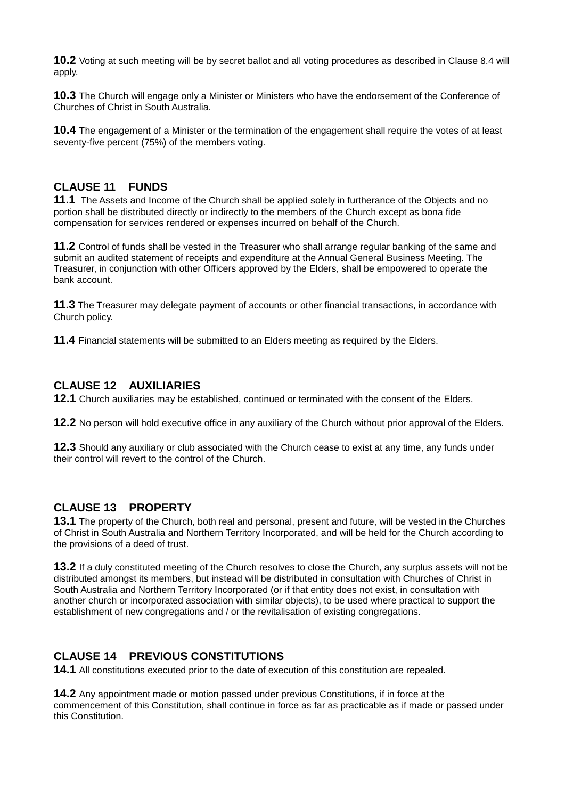**10.2** Voting at such meeting will be by secret ballot and all voting procedures as described in Clause 8.4 will apply.

**10.3** The Church will engage only a Minister or Ministers who have the endorsement of the Conference of Churches of Christ in South Australia.

**10.4** The engagement of a Minister or the termination of the engagement shall require the votes of at least seventy-five percent (75%) of the members voting.

#### **CLAUSE 11 FUNDS**

**11.1** The Assets and Income of the Church shall be applied solely in furtherance of the Objects and no portion shall be distributed directly or indirectly to the members of the Church except as bona fide compensation for services rendered or expenses incurred on behalf of the Church.

**11.2** Control of funds shall be vested in the Treasurer who shall arrange regular banking of the same and submit an audited statement of receipts and expenditure at the Annual General Business Meeting. The Treasurer, in conjunction with other Officers approved by the Elders, shall be empowered to operate the bank account.

**11.3** The Treasurer may delegate payment of accounts or other financial transactions, in accordance with Church policy.

**11.4** Financial statements will be submitted to an Elders meeting as required by the Elders.

#### **CLAUSE 12 AUXILIARIES**

**12.1** Church auxiliaries may be established, continued or terminated with the consent of the Elders.

**12.2** No person will hold executive office in any auxiliary of the Church without prior approval of the Elders.

**12.3** Should any auxiliary or club associated with the Church cease to exist at any time, any funds under their control will revert to the control of the Church.

#### **CLAUSE 13 PROPERTY**

**13.1** The property of the Church, both real and personal, present and future, will be vested in the Churches of Christ in South Australia and Northern Territory Incorporated, and will be held for the Church according to the provisions of a deed of trust.

**13.2** If a duly constituted meeting of the Church resolves to close the Church, any surplus assets will not be distributed amongst its members, but instead will be distributed in consultation with Churches of Christ in South Australia and Northern Territory Incorporated (or if that entity does not exist, in consultation with another church or incorporated association with similar objects), to be used where practical to support the establishment of new congregations and / or the revitalisation of existing congregations.

#### **CLAUSE 14 PREVIOUS CONSTITUTIONS**

**14.1** All constitutions executed prior to the date of execution of this constitution are repealed.

**14.2** Any appointment made or motion passed under previous Constitutions, if in force at the commencement of this Constitution, shall continue in force as far as practicable as if made or passed under this Constitution.